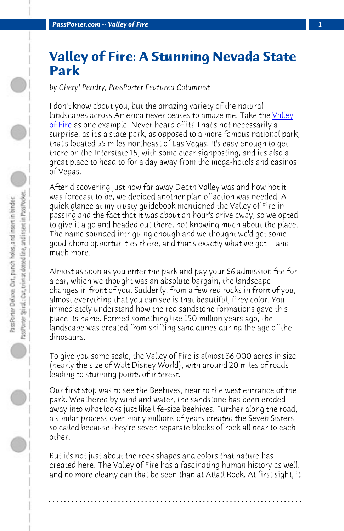*PassPorter.com -- Valley of Fire* 

## **Valley of Fire: A Stunning Nevada State Park**

*by Cheryl Pendry, PassPorter Featured Columnist*

I don't know about you, but the amazing variety of the natural landscapes across America never ceases to amaze me. Take the Valley of Fire as one example. Never heard of it? That's not necessarily a surprise, as it's a state park, as opposed to a more famous national park, that's located 55 miles northeast of Las Vegas. It's easy enough to get there on the Interstate 15, with some clear signposting, and it's also a great place to head to for a day away from the mega-hotels and casinos of Vegas.

After discovering just how far away Death Valley was and how hot it was forecast to be, we decided another plan of action was needed. A quick glance at my trusty guidebook mentioned the Valley of Fire in passing and the fact that it was about an hour's drive away, so we opted to give it a go and headed out there, not knowing much about the place. The name sounded intriguing enough and we thought we'd get some good photo opportunities there, and that's exactly what we got -- and much more.

Almost as soon as you enter the park and pay your \$6 admission fee for a car, which we thought was an absolute bargain, the landscape changes in front of you. Suddenly, from a few red rocks in front of you, almost everything that you can see is that beautiful, firey color. You immediately understand how the red sandstone formations gave this place its name. Formed something like 150 million years ago, the landscape was created from shifting sand dunes during the age of the dinosaurs.

To give you some scale, the Valley of Fire is almost 36,000 acres in size (nearly the size of Walt Disney World), with around 20 miles of roads leading to stunning points of interest.

Our first stop was to see the Beehives, near to the west entrance of the park. Weathered by wind and water, the sandstone has been eroded away into what looks just like life-size beehives. Further along the road, a similar process over many millions of years created the Seven Sisters, so called because they're seven separate blocks of rock all near to each other.

But it's not just about the rock shapes and colors that nature has created here. The Valley of Fire has a fascinating human history as well, and no more clearly can that be seen than at Atlatl Rock. At first sight, it

**. . . . . . . . . . . . . . . . . . . . . . . . . . . . . . . . . . . . . . . . . . . . . . . . . . . . . . . . . . . . . . . . . .**

J PassPrieter Spiral,: Car, trim at dotted line, and instert in PassPocket... PassPorter Delson: Out, punch holes, and insert in binder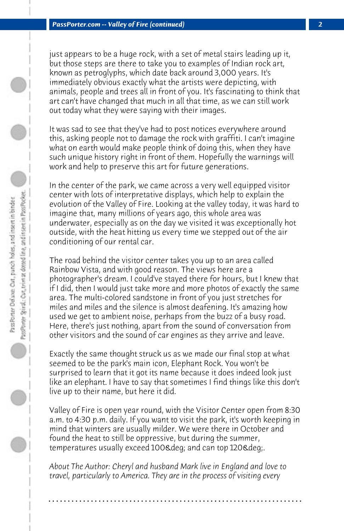just appears to be a huge rock, with a set of metal stairs leading up it, but those steps are there to take you to examples of Indian rock art, known as petroglyphs, which date back around 3,000 years. It's immediately obvious exactly what the artists were depicting, with animals, people and trees all in front of you. It's fascinating to think that art can't have changed that much in all that time, as we can still work out today what they were saying with their images.

It was sad to see that they've had to post notices everywhere around this, asking people not to damage the rock with graffiti. I can't imagine what on earth would make people think of doing this, when they have such unique history right in front of them. Hopefully the warnings will work and help to preserve this art for future generations.

In the center of the park, we came across a very well equipped visitor center with lots of interpretative displays, which help to explain the evolution of the Valley of Fire. Looking at the valley today, it was hard to imagine that, many millions of years ago, this whole area was underwater, especially as on the day we visited it was exceptionally hot outside, with the heat hitting us every time we stepped out of the air conditioning of our rental car.

The road behind the visitor center takes you up to an area called Rainbow Vista, and with good reason. The views here are a photographer's dream. I could've stayed there for hours, but I knew that if I did, then I would just take more and more photos of exactly the same area. The multi-colored sandstone in front of you just stretches for miles and miles and the silence is almost deafening. It's amazing how used we get to ambient noise, perhaps from the buzz of a busy road. Here, there's just nothing, apart from the sound of conversation from other visitors and the sound of car engines as they arrive and leave.

Exactly the same thought struck us as we made our final stop at what seemed to be the park's main icon, Elephant Rock. You won't be surprised to learn that it got its name because it does indeed look just like an elephant. I have to say that sometimes I find things like this don't live up to their name, but here it did.

Valley of Fire is open year round, with the Visitor Center open from 8:30 a.m. to 4:30 p.m. daily. If you want to visit the park, it's worth keeping in mind that winters are usually milder. We were there in October and found the heat to still be oppressive, but during the summer, temperatures usually exceed 100° and can top 120°.

*About The Author: Cheryl and husband Mark live in England and love to travel, particularly to America. They are in the process of visiting every*

**. . . . . . . . . . . . . . . . . . . . . . . . . . . . . . . . . . . . . . . . . . . . . . . . . . . . . . . . . . . . . . . . . .**